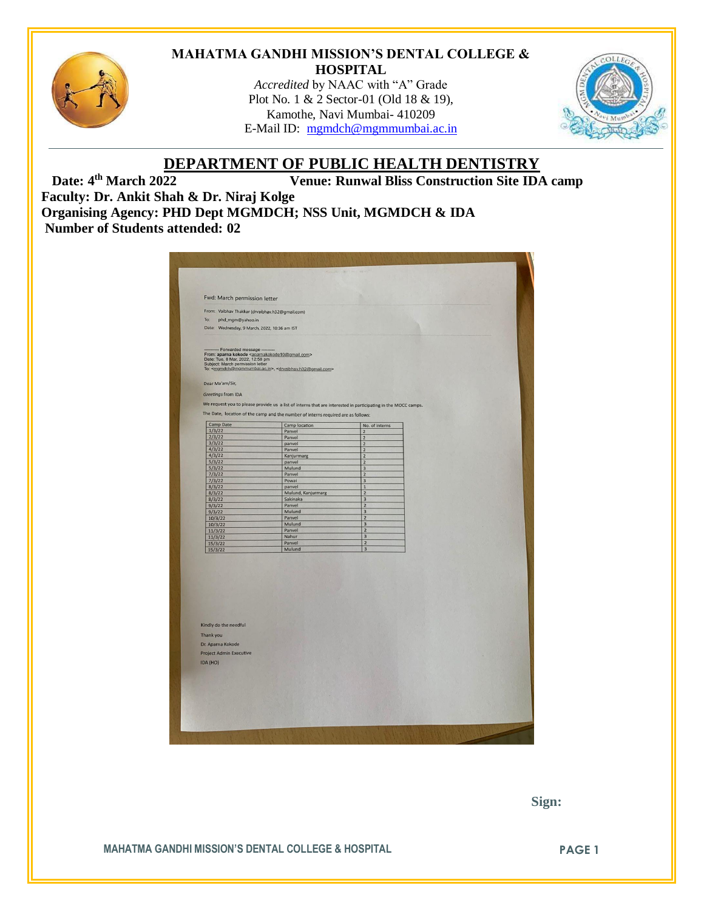

#### **MAHATMA GANDHI MISSION'S DENTAL COLLEGE & HOSPITAL**

*Accredited* by NAAC with "A" Grade Plot No. 1 & 2 Sector-01 (Old 18 & 19), Kamothe, Navi Mumbai- 410209 E-Mail ID: [mgmdch@mgmmumbai.ac.in](mailto:mgmdch@mgmmumbai.ac.in)



## **DEPARTMENT OF PUBLIC HEALTH DENTISTRY**

Date: 4<sup>th</sup> March 2022 **Venue: Runwal Bliss Construction Site IDA camp Faculty: Dr. Ankit Shah & Dr. Niraj Kolge Organising Agency: PHD Dept MGMDCH; NSS Unit, MGMDCH & IDA Number of Students attended: 02**

| Fwd: March permission letter                                                                                                                                                                     |                                                                                                               |                                           |  |
|--------------------------------------------------------------------------------------------------------------------------------------------------------------------------------------------------|---------------------------------------------------------------------------------------------------------------|-------------------------------------------|--|
| From: Vaibhav Thakkar (drvaibhav.h32@gmail.com)                                                                                                                                                  |                                                                                                               |                                           |  |
| To:<br>phd_mgm@yahoo.in                                                                                                                                                                          |                                                                                                               |                                           |  |
| Date: Wednesday, 9 March, 2022, 10:36 am IST                                                                                                                                                     |                                                                                                               |                                           |  |
|                                                                                                                                                                                                  |                                                                                                               |                                           |  |
| ------------ Forwarded message ----------<br>From: aparna kokode <aparnakokode10@gmail.com><br/>Date: Tue, 8 Mar, 2022, 12:58 pm<br/>Subject: March permission letter</aparnakokode10@gmail.com> |                                                                                                               |                                           |  |
|                                                                                                                                                                                                  | To: <mgmdch@mgmmumbai.ac.in>, <drvaibhav.h32@gmail.com></drvaibhav.h32@gmail.com></mgmdch@mgmmumbai.ac.in>    |                                           |  |
| Dear Ma'am/Sir,                                                                                                                                                                                  |                                                                                                               |                                           |  |
| Greetings from IDA                                                                                                                                                                               |                                                                                                               |                                           |  |
|                                                                                                                                                                                                  | We request you to please provide us a list of interns that are interested in participating in the MOCC camps. |                                           |  |
|                                                                                                                                                                                                  | The Date, location of the camp and the number of interns required are as follows:                             |                                           |  |
| <b>Camp Date</b>                                                                                                                                                                                 | Camp location                                                                                                 | No. of interns                            |  |
| 1/3/22                                                                                                                                                                                           | Panvel                                                                                                        | $\overline{2}$                            |  |
| 2/3/22<br>3/3/22                                                                                                                                                                                 | Panvel<br>panvel                                                                                              | $\overline{2}$<br>$\overline{2}$          |  |
| 4/3/22                                                                                                                                                                                           | Panvel                                                                                                        | $\overline{2}$                            |  |
| 4/3/22                                                                                                                                                                                           | Kanjurmarg                                                                                                    | $\overline{2}$                            |  |
| 5/3/22                                                                                                                                                                                           | panvel                                                                                                        | $\overline{2}$                            |  |
| 5/3/22                                                                                                                                                                                           | Mulund                                                                                                        | 3                                         |  |
| 7/3/22<br>7/3/22                                                                                                                                                                                 | Panvel<br>Powai                                                                                               | $\overline{2}$<br>$\overline{\mathbf{3}}$ |  |
| 8/3/22                                                                                                                                                                                           | panvel                                                                                                        | $\overline{1}$                            |  |
| 8/3/22                                                                                                                                                                                           | Mulund, Kanjurmarg                                                                                            | $\overline{2}$                            |  |
| 8/3/22                                                                                                                                                                                           | Sakinaka                                                                                                      | $\overline{\mathbf{3}}$                   |  |
| 9/3/22                                                                                                                                                                                           | Panvel                                                                                                        | $\overline{2}$                            |  |
| 9/3/22                                                                                                                                                                                           | Mulund<br>Panvel                                                                                              | $\overline{3}$<br>$\overline{2}$          |  |
| 10/3/22<br>10/3/22                                                                                                                                                                               | Mulund                                                                                                        | 3                                         |  |
| 11/3/22                                                                                                                                                                                          | Panvel                                                                                                        | $\overline{\mathbf{z}}$                   |  |
| 11/3/22                                                                                                                                                                                          | Nahur                                                                                                         | 3                                         |  |
| 15/3/22                                                                                                                                                                                          | Panvel                                                                                                        | $\overline{2}$                            |  |
| 15/3/22                                                                                                                                                                                          | Mulund                                                                                                        | $\overline{3}$                            |  |
|                                                                                                                                                                                                  |                                                                                                               |                                           |  |
|                                                                                                                                                                                                  |                                                                                                               |                                           |  |
|                                                                                                                                                                                                  |                                                                                                               |                                           |  |
|                                                                                                                                                                                                  |                                                                                                               |                                           |  |
|                                                                                                                                                                                                  |                                                                                                               |                                           |  |
|                                                                                                                                                                                                  |                                                                                                               |                                           |  |
|                                                                                                                                                                                                  |                                                                                                               |                                           |  |
|                                                                                                                                                                                                  |                                                                                                               |                                           |  |
| Kindly do the needful                                                                                                                                                                            |                                                                                                               |                                           |  |
| Thank you                                                                                                                                                                                        |                                                                                                               |                                           |  |
| Dr. Aparna Kokode                                                                                                                                                                                |                                                                                                               |                                           |  |
| <b>Project Admin Executive</b>                                                                                                                                                                   |                                                                                                               |                                           |  |
|                                                                                                                                                                                                  |                                                                                                               |                                           |  |
| IDA (HO)                                                                                                                                                                                         |                                                                                                               |                                           |  |
|                                                                                                                                                                                                  |                                                                                                               |                                           |  |
|                                                                                                                                                                                                  |                                                                                                               |                                           |  |
|                                                                                                                                                                                                  |                                                                                                               |                                           |  |
|                                                                                                                                                                                                  |                                                                                                               |                                           |  |
|                                                                                                                                                                                                  |                                                                                                               |                                           |  |

 **Sign:**

**MAHATMA GANDHI MISSION'S DENTAL COLLEGE & HOSPITAL PAGE 1**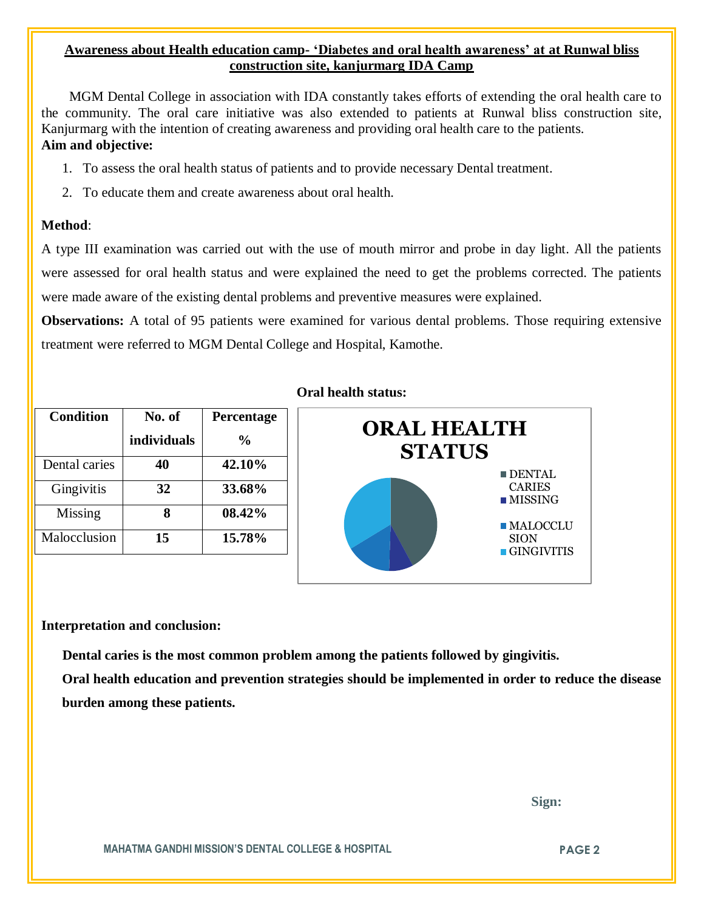### **Awareness about Health education camp- 'Diabetes and oral health awareness' at at Runwal bliss construction site, kanjurmarg IDA Camp**

 MGM Dental College in association with IDA constantly takes efforts of extending the oral health care to the community. The oral care initiative was also extended to patients at Runwal bliss construction site, Kanjurmarg with the intention of creating awareness and providing oral health care to the patients. **Aim and objective:** 

- 1. To assess the oral health status of patients and to provide necessary Dental treatment.
- 2. To educate them and create awareness about oral health.

#### **Method**:

A type III examination was carried out with the use of mouth mirror and probe in day light. All the patients were assessed for oral health status and were explained the need to get the problems corrected. The patients were made aware of the existing dental problems and preventive measures were explained.

**Observations:** A total of 95 patients were examined for various dental problems. Those requiring extensive treatment were referred to MGM Dental College and Hospital, Kamothe.

| <b>Condition</b> | No. of      | Percentage    |
|------------------|-------------|---------------|
|                  | individuals | $\frac{0}{0}$ |
| Dental caries    | 40          | 42.10%        |
| Gingivitis       | 32          | 33.68%        |
| Missing          |             | 08.42%        |
| Malocclusion     | 15          | 15.78%        |

#### **Oral health status:**



#### **Interpretation and conclusion:**

 **Dental caries is the most common problem among the patients followed by gingivitis.**

**Oral health education and prevention strategies should be implemented in order to reduce the disease burden among these patients.**

 **Sign:**

**MAHATMA GANDHI MISSION'S DENTAL COLLEGE & HOSPITAL PAGE 2**